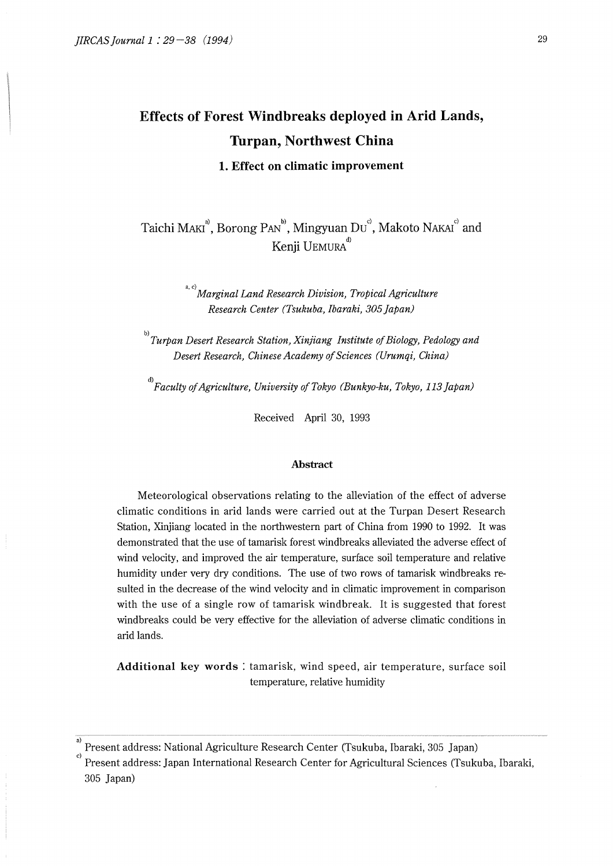# **Effects of Forest Windbreaks deployed in Arid Lands, Turpan, Northwest China**

**1. Effect on climatic improvement** 

Taichi MAKI<sup>a</sup>, Borong PAN<sup>b</sup>, Mingyuan Du<sup>c</sup>, Makoto NAKAI<sup>c</sup> and Kenji UEMURA<sup>d)</sup>

> a, c)<br>*Marginal Land Research Division, Tropical Agriculture Research Center (Tsukuba, Ibaraki, 305 Japan)*

b)<br>
Turpan Desert Research Station, Xinjiang Institute of Biology, Pedology and *Desert Research, Chinese Academy of Sciences (Urumqi, China)* 

*d)Faculty of Agriculture, University of Tokyo (Bunkyo-ku, Tokyo, 113]apan)* 

Received April 30, 1993

#### **Abstract**

Meteorological observations relating to the alleviation of the effect of adverse climatic conditions in arid lands were carried out at the Turpan Desert Research Station, Xinjiang located in the northwestern part of China from 1990 to 1992. It was demonstrated that the use of tamarisk forest windbreaks alleviated the adverse effect of wind velocity, and improved the air temperature, surface soil temperature and relative humidity under very dry conditions. The use of two rows of tamarisk windbreaks resulted in the decrease of the wind velocity and in climatic improvement in comparison with the use of a single row of tamarisk windbreak. It is suggested that forest windbreaks could be very effective for the alleviation of adverse climatic conditions in arid lands.

**Additional key words** : tamarisk, wind speed, air temperature, surface soil temperature, relative humidity

Present address: National Agriculture Research Center (Tsukuba, lbaraki, 305 Japan)

c) Present address: Japan International Research Center for Agricultural Sciences (Tsukuba, lbaraki, 305 Japan)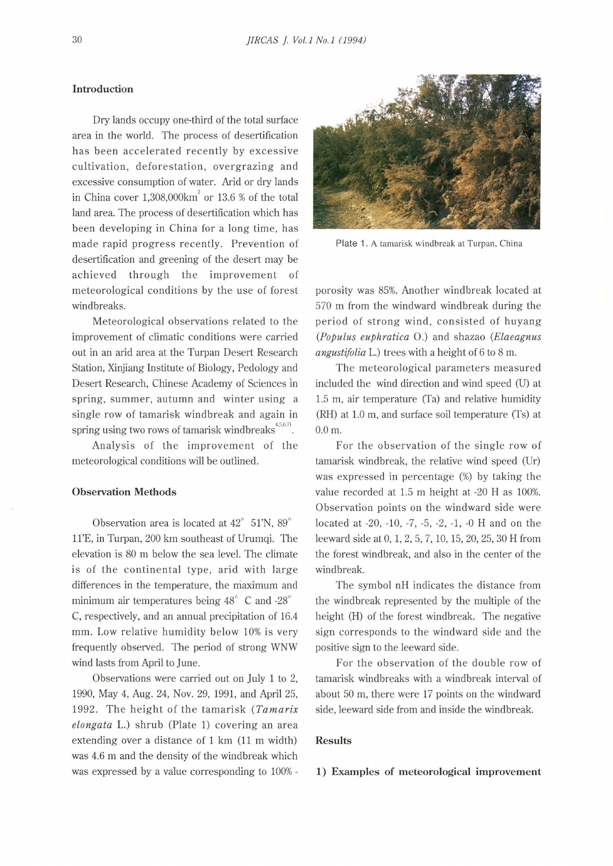## **Introduction**

Dry lands occupy one-third of the total surface area in the world. The process of desertification has been accelerated recently by excessive cultivation, deforestation, overgrazing and excessive consumption of water. Arid or dry lands in China cover  $1,308,000 \text{km}^2$  or  $13.6$  % of the total land area. The process of desertification which has been developing in China for a long time, has made rapid progress recently. Prevention of desertification and greening of the desert may be achieved through the improvement of meteorological conditions by the use of forest windbreaks.

Meteorological observations related to the improvement of climatic conditions were carried out in an arid area at the Turpan Desert Research Station, Xinjiang Institute of Biology, Pedology and Desert Research, Chinese Academy of Sciences ln spring, summer, autumn and winter using a single row of tamarisk windbreak and again in spring using two rows of tamarisk windbreaks $^{4,5,6,7)}$ .

Analysis of the improvement of the meteorological conditions will be outlined.

#### **Observation Methods**

Observation area is located at 42° 51'N, 89° ll'E, in Turpan, 200 km southeast of Urumqi. The elevation is 80 m below the sea level. The climate is of the continental type, arid with large differences in the temperature, the maximum and minimum air temperatures being 48° C and -28° C, respectively, and an annual precipitation of 16.4 mm. Low relative humidity below 10% is very frequently observed. The period of strong WNW wind lasts from April to June.

Observations were carried out on July 1 to 2, 1990, May 4, Aug. 24, Nov. 29, 1991, and April 25, 1992. The height of the tamarisk *(Tamarix elongata* L.) shrub (Plate 1) covering an area extending over a distance of 1 km (11 m width) was 4.6 m and the density of the windbreak which was expressed by a value corresponding to 100% -



Plate 1. A tamarisk windbreak at Turpan, China

porosity was 85%. Another windbreak located at 570 m from the windward windbreak during the period of strong wind, consisted of huyang *(Populus euphratica* 0.) and shazao *(Elaeagnus angustifolia* L.) trees with a height of 6 to 8 m.

The meteorological parameters measured included the wind direction and wind speed (U) at 1.5 m, air temperature (Ta) and relative humidity (RH) at 1.0 m, and surface soil temperature (Ts) at 0.0 m.

For the observation of the single row of tamarisk windbreak, the relative wind speed (Ur) was expressed in percentage (%) by taking the value recorded at 1.5 m height at -20 H as 100%. Observation points on the windward side were located at -20, -10, -7, -5, -2, -1, -0 H and on the leeward side at 0, 1, 2, 5, 7, 10, 15, 20, 25, 30 H from the forest windbreak, and also in the center of the windbreak.

The symbol nH indicates the distance from the windbreak represented by the multiple of the height (H) of the forest windbreak. The negative sign corresponds to the windward side and the positive sign to the leeward side.

For the observation of the double row of tamarisk windbreaks with a windbreak interval of about 50 m, there were 17 points on the windward side, leeward side from and inside the windbreak.

#### **Results**

## **1) Examples of meteorological improvement**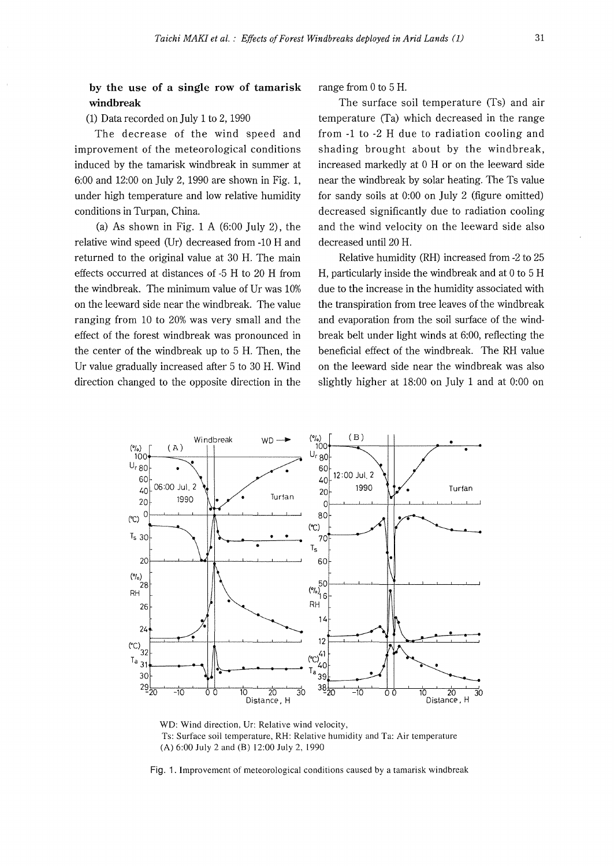**by the use of a single row of tamarisk windbreak** 

(1) Data recorded on July 1 to 2, 1990

The decrease of the wind speed and improvement of the meteorological conditions induced by the tamarisk windbreak in summer at 6:00 and 12:00 on July 2, 1990 are shown in Fig. 1, under high temperature and low relative humidity conditions in Turpan, China.

(a) As shown in Fig.  $1 \text{ A } (6:00 \text{ July } 2)$ , the relative wind speed (Ur) decreased from -10 H and returned to the original value at 30 H. The main effects occurred at distances of -5 H to 20 H from the windbreak. The minimum value of Ur was 10% on the leeward side near the windbreak. The value ranging from 10 to 20% was very small and the effect of the forest windbreak was pronounced in the center of the windbreak up to 5 H. Then, the Ur value gradually increased after 5 to 30 H. Wind direction changed to the opposite direction in the range from O to 5 H.

The surface soil temperature (Ts) and air temperature (Ta) which decreased in the range from -1 to -2 H due to radiation cooling and shading brought about by the windbreak, increased markedly at O H or on the leeward side near the windbreak by solar heating. The Ts value for sandy soils at 0:00 on July 2 (figure omitted) decreased significantly due to radiation cooling and the wind velocity on the leeward side also decreased until 20 H.

Relative humidity (RH) increased from -2 to 25 H, particularly inside the windbreak and at O to 5 H due to the increase in the humidity associated with the transpiration from tree leaves of the windbreak and evaporation from the soil surface of the windbreak belt under light winds at 6:00, reflecting the beneficial effect of the windbreak. The RH value on the leeward side near the windbreak was also slightly higher at 18:00 on July 1 and at 0:00 on



WO: Wind direction, Ur: Relative wind velocity, Ts: Surface soil temperature, RH: Relative humidity and Ta: Air temperature (A) 6:00 July 2 and (B) 12:00 July 2, 1990

Fig. 1. Improvement of meteorological conditions caused by a tamarisk windbreak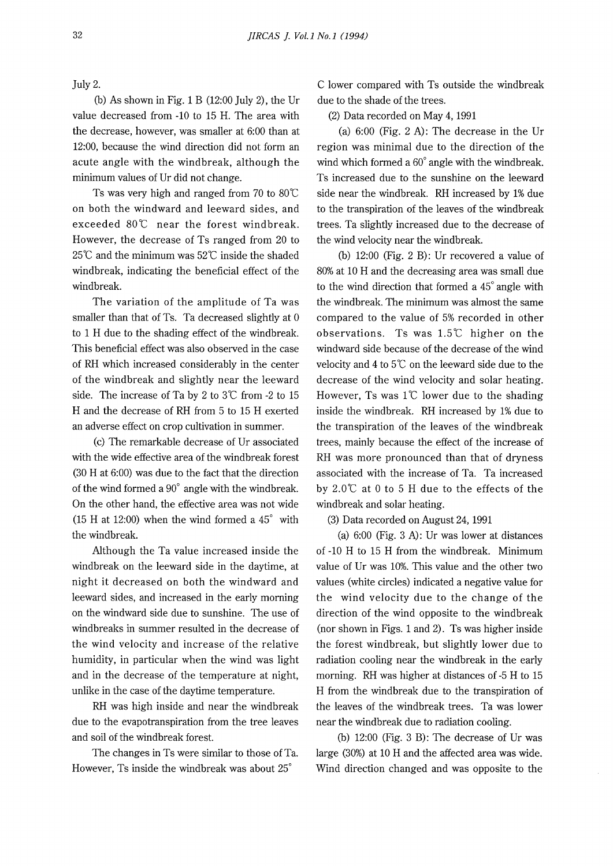July 2.

(b) As shown in Fig. 1 B (12:00 July 2), the Ur value decreased from -10 to 15 H. The area with the decrease, however, was smaller at 6:00 than at 12:00, because the wind direction did not form an acute angle with the windbreak, although the minimum values of Ur did not change.

Ts was very high and ranged from 70 to 80°C on both the windward and leeward sides, and exceeded 80°C near the forest windbreak. However, the decrease of Ts ranged from 20 to  $25^{\circ}$  and the minimum was  $52^{\circ}$  inside the shaded windbreak, indicating the beneficial effect of the windbreak.

The variation of the amplitude of Ta was smaller than that of Ts. Ta decreased slightly at 0 to 1 H due to the shading effect of the windbreak. This beneficial effect was also observed in the case of RH which increased considerably in the center of the windbreak and slightly near the leeward side. The increase of Ta by 2 to  $3^{\circ}$ C from -2 to 15 H and the decrease of RH from 5 to 15 H exerted an adverse effect on crop cultivation in summer.

(c) The remarkable decrease of Ur associated with the wide effective area of the windbreak forest (30 H at 6:00) was due to the fact that the direction of the wind formed a 90° angle with the windbreak. On the other hand, the effective area was not wide (15 H at 12:00) when the wind formed a 45° with the windbreak.

Although the Ta value increased inside the windbreak on the leeward side in the daytime, at night it decreased on both the windward and leeward sides, and increased in the early morning on the windward side due to sunshine. The use of windbreaks in summer resulted in the decrease of the wind velocity and increase of the relative humidity, in particular when the wind was light and in the decrease of the temperature at night, unlike in the case of the daytime temperature.

RH was high inside and near the windbreak due to the evapotranspiration from the tree leaves and soil of the windbreak forest.

The changes in Ts were similar to those of Ta. However, Ts inside the windbreak was about 25°

C lower compared with Ts outside the windbreak due to the shade of the trees.

(2) Data recorded on May 4, 1991

(a) 6:00 (Fig. 2 A): The decrease in the Ur region was minimal due to the direction of the wind which formed a 60° angle with the windbreak. Ts increased due to the sunshine on the leeward side near the windbreak. RH increased by 1% due to the transpiration of the leaves of the windbreak trees. Ta slightly increased due to the decrease of the wind velocity near the windbreak.

(b) 12:00 (Fig. 2 B): Ur recovered a value of 80% at 10 H and the decreasing area was small due to the wind direction that formed a 45° angle with the windbreak. The minimum was almost the same compared to the value of 5% recorded in other observations. Ts was  $1.5^{\circ}$  higher on the windward side because of the decrease of the wind velocity and 4 to  $5^\circ\text{C}$  on the leeward side due to the decrease of the wind velocity and solar heating. However, Ts was  $1^{\circ}$  lower due to the shading inside the windbreak. RH increased by 1% due to the transpiration of the leaves of the windbreak trees, mainly because the effect of the increase of RH was more pronounced than that of dryness associated with the increase of Ta. Ta increased by 2.0°C at O to 5 H due to the effects of the windbreak and solar heating.

(3) Data recorded on August 24, 1991

(a) 6:00 (Fig. 3 A): Ur was lower at distances of -10 H to 15 H from the windbreak. Minimum value of Ur was 10%. This value and the other two values (white circles) indicated a negative value for the wind velocity due to the change of the direction of the wind opposite to the windbreak (nor shown in Figs. 1 and 2). Ts was higher inside the forest windbreak, but slightly lower due to radiation cooling near the windbreak in the early morning. RH was higher at distances of -5 H to 15 H from the windbreak due to the transpiration of the leaves of the windbreak trees. Ta was lower near the windbreak due to radiation cooling.

(b) 12:00 (Fig. 3 B): The decrease of Ur was large (30%) at 10 H and the affected area was wide. Wind direction changed and was opposite to the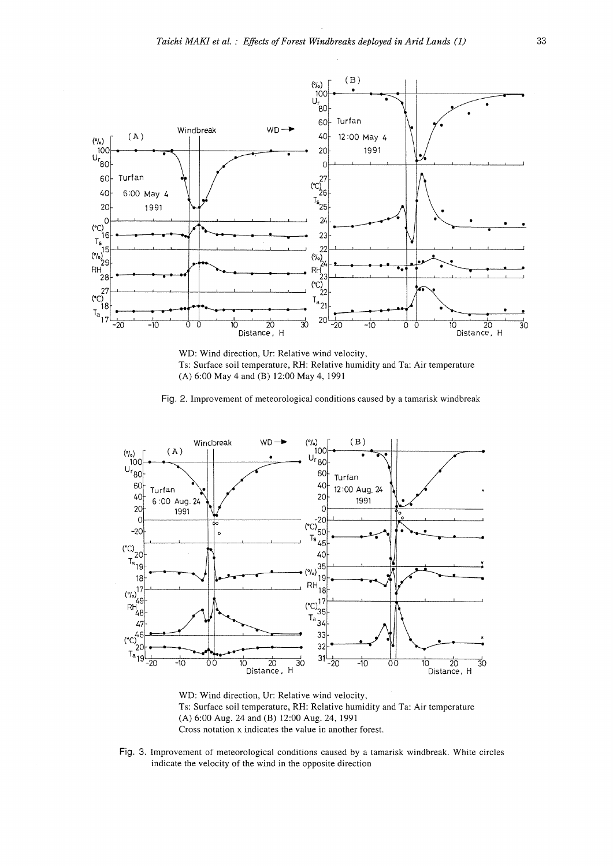

**WD:** Wind direction, Ur: Relative wind velocity, Ts: Surface soil temperature, RH: Relative humidity and Ta: Air temperature (A) 6:00 May 4 and (B) 12:00 May 4, 1991

**Fig.** 2. Improvement of meteorological conditions caused by a tamarisk windbreak



WD: Wind direction, Ur: Relative wind velocity, Ts: Surface soil temperature, RH: Relative humidity and Ta: Air temperature (A) 6:00 Aug. 24 and **(B)** 12:00 Aug. 24, 1991 Cross notation x indicates the value in another forest.

**Fig.** 3. Improvement of meteorological conditions caused by a tamarisk windbreak. White circles indicate the velocity of the wind in the opposite direction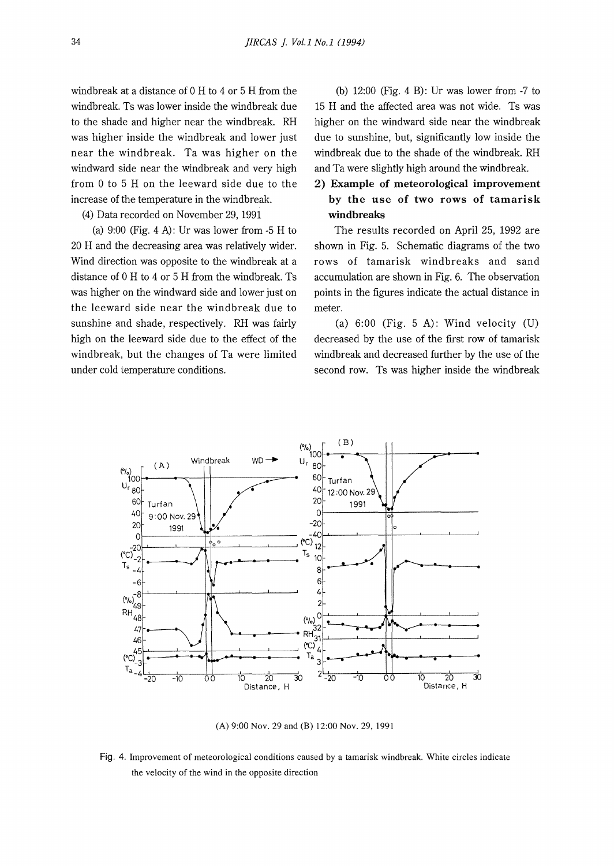windbreak at a distance of O H to 4 or 5 H from the windbreak. Ts was lower inside the windbreak due to the shade and higher near the windbreak. RH was higher inside the windbreak and lower just near the windbreak. Ta was higher on the windward side near the windbreak and very high from O to 5 H on the leeward side due to the increase of the temperature in the windbreak.

(4) Data recorded on November 29, 1991

(a)  $9:00$  (Fig. 4 A): Ur was lower from  $-5$  H to 20 H and the decreasing area was relatively wider. Wind direction was opposite to the windbreak at a distance of O H to 4 or 5 H from the windbreak. Ts was higher on the windward side and lower just on the leeward side near the windbreak due to sunshine and shade, respectively. RH was fairly high on the leeward side due to the effect of the windbreak, but the changes of Ta were limited under cold temperature conditions.

(b) 12:00 (Fig. 4 B): Ur was lower from -7 to 15 H and the affected area was not wide. Ts was higher on the windward side near the windbreak due to sunshine, but, significantly low inside the windbreak due to the shade of the windbreak. RH and Ta were slightly high around the windbreak.

# **2) Example of meteorological improvement by the use of two rows of tamarisk windbreaks**

The results recorded on April 25, 1992 are shown in Fig. 5. Schematic diagrams of the two rows of tamarisk windbreaks and sand accumulation are shown in Fig. 6. The observation points in the figures indicate the actual distance in meter.

(a)  $6:00$  (Fig. 5 A): Wind velocity (U) decreased by the use of the first row of tamarisk windbreak and decreased further by the use of the second row. Ts was higher inside the windbreak



(A) 9:00 Nov. 29 and (B) 12:00 Nov. 29, 1991

Fig. 4. Improvement of meteorological conditions caused by a tamarisk windbreak. White circles indicate the velocity of the wind in the opposite direction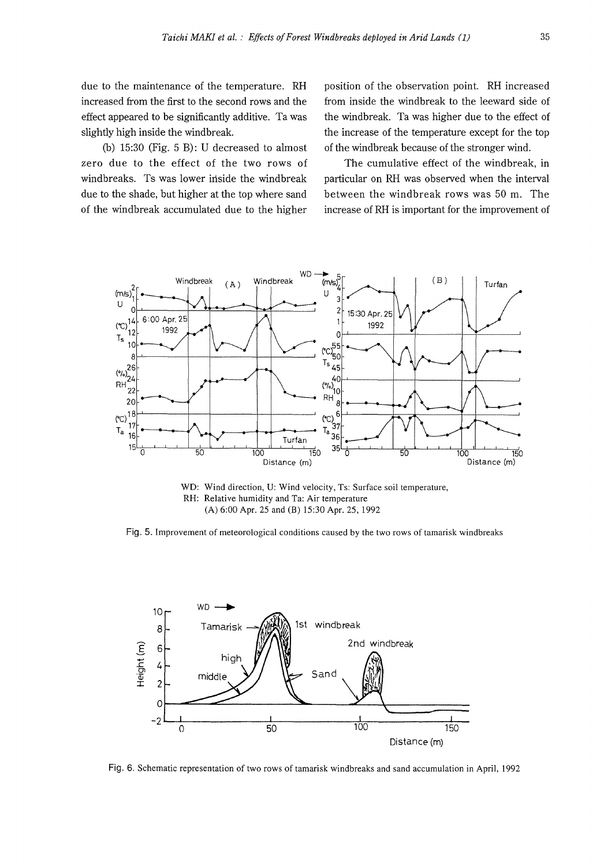due to the maintenance of the temperature. RH increased from the first to the second rows and the effect appeared to be significantly additive. Ta was slightly high inside the windbreak.

(b) 15:30 (Fig. 5 B): U decreased to almost zero due to the effect of the two rows of windbreaks. Ts was lower inside the windbreak due to the shade, but higher at the top where sand of the windbreak accumulated due to the higher position of the observation point. RH increased from inside the windbreak to the leeward side of the windbreak. Ta was higher due to the effect of the increase of the temperature except for the top of the windbreak because of the stronger wind.

The cumulative effect of the windbreak, in particular on RH was observed when the interval between the windbreak rows was 50 m. The increase of RH is important for the improvement of



WD: Wind direction, U: Wind velocity, Ts: Surface soil temperature, RH: Relative humidity and Ta: Air temperature (A) 6:00 Apr. 25 and (B) 15:30 Apr. 25, 1992

Fig. 5. Improvement of meteorological conditions caused by the two rows of tamarisk windbreaks



Fig. 6. Schematic representation of two rows of tamarisk windbreaks and sand accumulation in April, 1992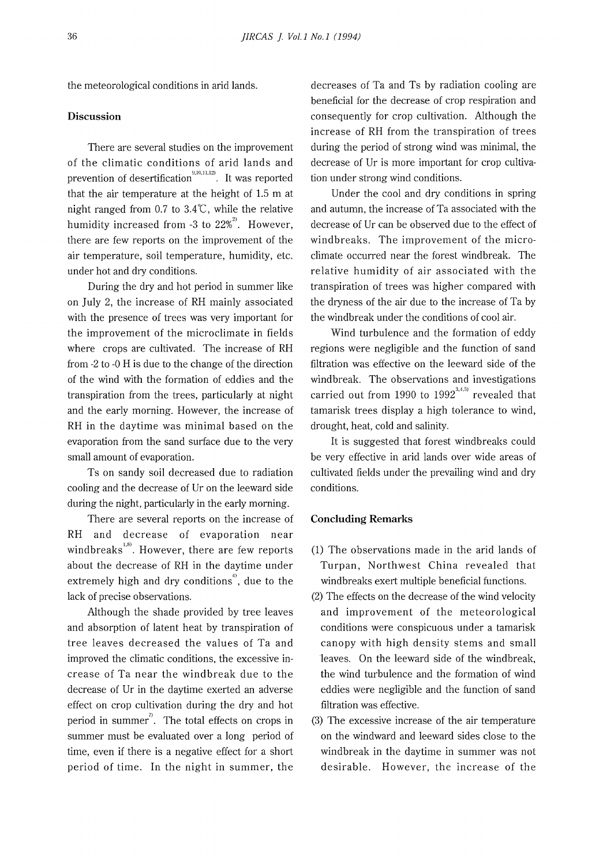the meteorological conditions in arid lands.

#### **Discussion**

There are several studies on the improvement of the climatic conditions of arid lands and prevention of desertification<sup>9,10,11,12)</sup>. It was reported that the air temperature at the height of 1.5 m at night ranged from 0.7 to 3.4°C, while the relative humidity increased from -3 to  $22\%^{21}$ . However, there are few reports on the improvement of the air temperature, soil temperature, humidity, etc. under hot and dry conditions.

During the dry and hot period in summer like on July 2, the increase of RH mainly associated with the presence of trees was very important for the improvement of the microclimate in fields where crops are cultivated. The increase of RH from -2 to -0 H is due to the change of the direction of the wind with the formation of eddies and the transpiration from the trees, particularly at night and the early morning. However, the increase of RH in the daytime was minimal based on the evaporation from the sand surface due to the very small amount of evaporation.

Ts on sandy soil decreased due to radiation cooling and the decrease of Ur on the leeward side during the night, particularly in the early morning.

There are several reports on the increase of RH and decrease of evaporation near windbreaks $\overset{1,8)}{\ldots}$ . However, there are few reports about the decrease of RH in the daytime under extremely high and dry conditions<sup>4</sup>, due to the lack of precise observations.

Although the shade provided by tree leaves and absorption of latent heat by transpiration of tree leaves decreased the values of Ta and improved the climatic conditions, the excessive increase of Ta near the windbreak due to the decrease of Ur in the daytime exerted an adverse effect on crop cultivation during the dry and hot period in summer<sup>7</sup>. The total effects on crops in summer must be evaluated over a long period of time, even if there is a negative effect for a short period of time. In the night in summer, the

decreases of Ta and Ts by radiation cooling are beneficial for the decrease of crop respiration and consequently for crop cultivation. Although the increase of RH from the transpiration of trees during the period of strong wind was minimal, the decrease of Ur is more important for crop cultivation under strong wind conditions.

Under the cool and dry conditions in spring and autumn, the increase of Ta associated with the decrease of Ur can be observed due to the effect of windbreaks. The improvement of the microclimate occurred near the forest windbreak. The relative humidity of air associated with the transpiration of trees was higher compared with the dryness of the air due to the increase of Ta by the windbreak under the conditions of cool air.

Wind turbulence and the formation of eddy regions were negligible and the function of sand filtration was effective on the leeward side of the windbreak. The observations and investigations carried out from 1990 to 1992 $^{3,4,5)}$  revealed that tamarisk trees display a high tolerance to wind, drought, heat, cold and salinity.

It is suggested that forest windbreaks could be very effective in arid lands over wide areas of cultivated fields under the prevailing wind and dry conditions.

#### **Concluding Remarks**

- (1) The observations made in the arid lands of Turpan, Northwest China revealed that windbreaks exert multiple beneficial functions.
- (2) The effects on the decrease of the wind velocity and improvement of the meteorological conditions were conspicuous under a tamarisk canopy with high density stems and small leaves. On the leeward side of the windbreak, the wind turbulence and the formation of wind eddies were negligible and the function of sand filtration was effective.
- (3) The excessive increase of the air temperature on the windward and leeward sides close to the windbreak in the daytime in summer was not desirable. However, the increase of the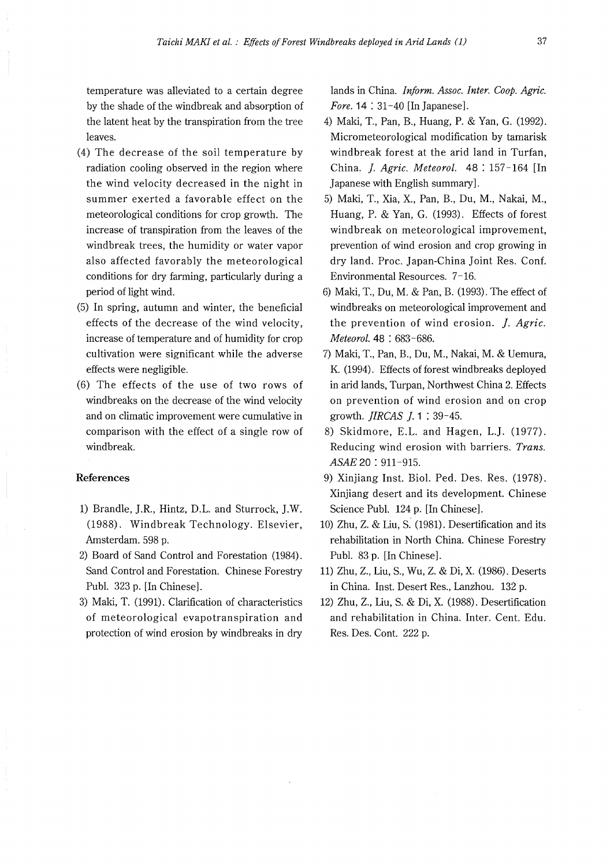temperature was alleviated to a certain degree by the shade of the windbreak and absorption of the latent heat by the transpiration from the tree leaves.

- (4) The decrease of the soil temperature by radiation cooling observed in the region where the wind velocity decreased in the night in summer exerted a favorable effect on the meteorological conditions for crop growth. The increase of transpiration from the leaves of the windbreak trees, the humidity or water vapor also affected favorably the meteorological conditions for dry farming, particularly during a period of light wind.
- (5) In spring, autumn and winter, the beneficial effects of the decrease of the wind velocity, increase of temperature and of humidity for crop cultivation were significant while the adverse effects were negligible.
- (6) The effects of the use of two rows of windbreaks on the decrease of the wind velocity and on climatic improvement were cumulative in comparison with the effect of a single row of windbreak.

### **References**

- 1) Brandle, J.R., Hintz, D.L. and Sturrock, J.W. (1988). Windbreak Technology. Elsevier, Amsterdam. 598 p.
- 2) Board of Sand Control and Forestation (1984). Sand Control and Forestation. Chinese Forestry Puhl. 323 p. [In Chinese].
- 3) Maki, T. (1991). Clarification of characteristics of meteorological evapotranspiration and protection of wind erosion by windbreaks in dry

lands in China. *Inform. Assoc. Inter. Coop. Agric. Fore.* **14** : 31-40 [In Japanese].

- 4) Maki, T., Pan, B., Huang, P. & Yan, G. (1992). Micrometeorological modification by tamarisk windbreak forest at the arid land in Turfan, China. *]. Agric. Meteorol.* **48:** 157-164 [In Japanese with English summary].
- 5) Maki, T., Xia, X., Pan, B., Du, M., Nakai, M., Huang, P. & Yan, G. (1993). Effects of forest windbreak on meteorological improvement, prevention of wind erosion and crop growing in dry land. Proc. Japan-China Joint Res. Conf. Environmental Resources. 7-16.
- 6) Maki, T., Du, M. & Pan, B. (1993). The effect of windbreaks on meteorological improvement and the prevention of wind erosion. *]. Agric. Meteorol.* 48 : 683-686.
- 7) Maki, T., Pan, B., Du, M., Nakai, M. & Uemura, K. (1994). Effects of forest windbreaks deployed in arid lands, Turpan, Northwest China 2. Effects on prevention of wind erosion and on crop growth. *JIRCAS ].* 1 : 39-45.
- 8) Skidmore, E.L. and Hagen, L.J. (1977). Reducing wind erosion with barriers. *Trans. ASAE* 20 : 911 -915.
- 9) Xinjiang Inst. Biol. Ped. Des. Res. (1978). Xinjiang desert and its development. Chinese Science Puhl. 124 p. [In Chinese].
- 10) Zhu, Z. & Liu, S. (1981). Desertification and its rehabilitation in North China. Chinese Forestry Puhl. 83 p. [In Chinese].
- 11) Zhu, Z., Liu, S., Wu, Z. & Di, X. (1986). Deserts in China. Inst. Desert Res., Lanzhou. 132 p.
- 12) Zhu, Z., Liu, S. & Di, X. (1988). Desertification and rehabilitation in China. Inter. Cent. Edu. Res. Des. Cont. 222 p.